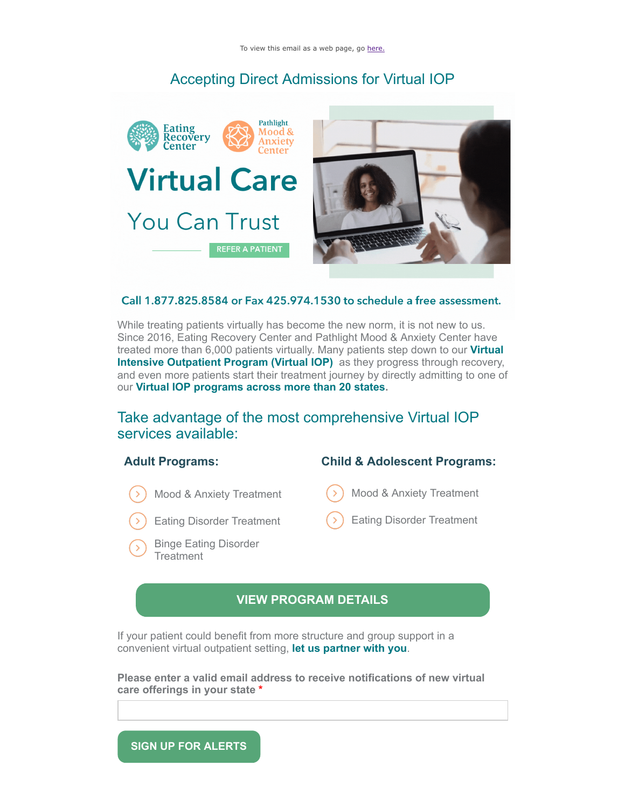# Accepting Direct Admissions for Virtual IOP



#### Call 1.877.825.8584 or Fax 425.974.1530 to schedule a free assessment.

While treating patients virtually has become the new norm, it is not new to us. Since 2016, Eating Recovery Center and Pathlight Mood & Anxiety Center have treated more than 6,000 patients virtually. Many patients step down to our **Virtual [Intensive Outpatient Program \(Virtual IOP\)](https://click.em.ercpathlight.com/?qs=4def874381735a7045be886a0510d5e8ac675dd3fe72f56c4a7e1df12c2606bb59bc1f8ff462ce59861fca82cad1920456231dfccf83937f)** as they progress through recovery, and even more patients start their treatment journey by directly admitting to one of our **[Virtual IOP programs across more than 20 states.](https://click.em.ercpathlight.com/?qs=4def874381735a70d1e73d89dda401b9967b25c50888b2933b68a456e64c591809b0bcf9baf263a40f853f45e56b41593d975ac8ef082b73)**

## Take advantage of the most comprehensive Virtual IOP services available:

### **Adult Programs:**

- Mood & Anxiety Treatment
- Eating Disorder Treatment
- Binge Eating Disorder **Treatment**

### **Child & Adolescent Programs:**

- Mood & Anxiety Treatment
- Eating Disorder Treatment

### **[VIEW PROGRAM DETAILS](https://click.em.ercpathlight.com/?qs=4def874381735a7022ba4844ea3660dea00aeb07d85c3b881b37b4129777e2cbca25967c5750d0886fd83888da12064085e582fb4ca463d0)**

If your patient could benefit from more structure and group support in a convenient virtual outpatient setting, **[let us partner with you](https://click.em.ercpathlight.com/?qs=4def874381735a70ef84e7588b9b44da5f7c912a45e622d988e5de60ea71d698d1eaa4feb478a62926152121403d0fe69e97405f5bb7b9bf)**.

**Please enter a valid email address to receive notifications of new virtual care offerings in your state \***

**SIGN UP FOR ALERTS**